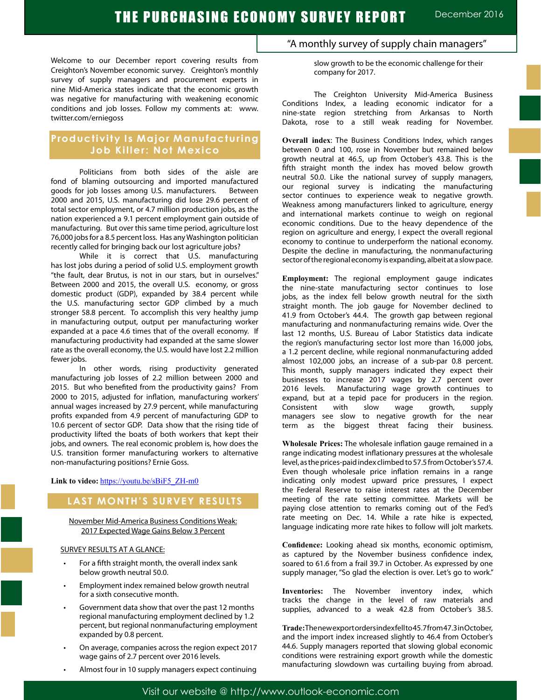Welcome to our December report covering results from Creighton's November economic survey. Creighton's monthly survey of supply managers and procurement experts in nine Mid-America states indicate that the economic growth was negative for manufacturing with weakening economic conditions and job losses. Follow my comments at: www. twitter.com/erniegoss

# **Productivity Is Major Manufacturing Job Killer: Not Mexico**

Politicians from both sides of the aisle are fond of blaming outsourcing and imported manufactured goods for job losses among U.S. manufacturers. Between 2000 and 2015, U.S. manufacturing did lose 29.6 percent of total sector employment, or 4.7 million production jobs, as the nation experienced a 9.1 percent employment gain outside of manufacturing. But over this same time period, agriculture lost 76,000 jobs for a 8.5 percent loss. Has any Washington politician recently called for bringing back our lost agriculture jobs?

While it is correct that U.S. manufacturing has lost jobs during a period of solid U.S. employment growth "the fault, dear Brutus, is not in our stars, but in ourselves." Between 2000 and 2015, the overall U.S. economy, or gross domestic product (GDP), expanded by 38.4 percent while the U.S. manufacturing sector GDP climbed by a much stronger 58.8 percent. To accomplish this very healthy jump in manufacturing output, output per manufacturing worker expanded at a pace 4.6 times that of the overall economy. If manufacturing productivity had expanded at the same slower rate as the overall economy, the U.S. would have lost 2.2 million fewer jobs.

In other words, rising productivity generated manufacturing job losses of 2.2 million between 2000 and 2015. But who benefited from the productivity gains? From 2000 to 2015, adjusted for inflation, manufacturing workers' annual wages increased by 27.9 percent, while manufacturing profits expanded from 4.9 percent of manufacturing GDP to 10.6 percent of sector GDP. Data show that the rising tide of productivity lifted the boats of both workers that kept their jobs, and owners. The real economic problem is, how does the U.S. transition former manufacturing workers to alternative non-manufacturing positions? Ernie Goss.

Link to video: https://youtu.be/sBiF5\_ZH-m0

# **LAST MONTH'S SURVEY RESULTS**

November Mid-America Business Conditions Weak: 2017 Expected Wage Gains Below 3 Percent

#### SURVEY RESULTS AT A GLANCE:

- For a fifth straight month, the overall index sank below growth neutral 50.0.
- Employment index remained below growth neutral for a sixth consecutive month.
- Government data show that over the past 12 months regional manufacturing employment declined by 1.2 percent, but regional nonmanufacturing employment expanded by 0.8 percent.
- On average, companies across the region expect 2017 wage gains of 2.7 percent over 2016 levels.
- Almost four in 10 supply managers expect continuing

# "A monthly survey of supply chain managers"

slow growth to be the economic challenge for their company for 2017.

The Creighton University Mid-America Business Conditions Index, a leading economic indicator for a nine-state region stretching from Arkansas to North Dakota, rose to a still weak reading for November.

**Overall index**: The Business Conditions Index, which ranges between 0 and 100, rose in November but remained below growth neutral at 46.5, up from October's 43.8. This is the fifth straight month the index has moved below growth neutral 50.0. Like the national survey of supply managers, our regional survey is indicating the manufacturing sector continues to experience weak to negative growth. Weakness among manufacturers linked to agriculture, energy and international markets continue to weigh on regional economic conditions. Due to the heavy dependence of the region on agriculture and energy, I expect the overall regional economy to continue to underperform the national economy. Despite the decline in manufacturing, the nonmanufacturing sector of the regional economy is expanding, albeit at a slow pace.

**Employment:** The regional employment gauge indicates the nine-state manufacturing sector continues to lose jobs, as the index fell below growth neutral for the sixth straight month. The job gauge for November declined to 41.9 from October's 44.4. The growth gap between regional manufacturing and nonmanufacturing remains wide. Over the last 12 months, U.S. Bureau of Labor Statistics data indicate the region's manufacturing sector lost more than 16,000 jobs, a 1.2 percent decline, while regional nonmanufacturing added almost 102,000 jobs, an increase of a sub-par 0.8 percent. This month, supply managers indicated they expect their businesses to increase 2017 wages by 2.7 percent over 2016 levels. Manufacturing wage growth continues to expand, but at a tepid pace for producers in the region. Consistent with slow wage growth, supply managers see slow to negative growth for the near term as the biggest threat facing their business.

**Wholesale Prices:** The wholesale inflation gauge remained in a range indicating modest inflationary pressures at the wholesale level, as the prices-paid index climbed to 57.5 from October's 57.4. Even though wholesale price inflation remains in a range indicating only modest upward price pressures, I expect the Federal Reserve to raise interest rates at the December meeting of the rate setting committee. Markets will be paying close attention to remarks coming out of the Fed's rate meeting on Dec. 14. While a rate hike is expected, language indicating more rate hikes to follow will jolt markets.

**Confidence:** Looking ahead six months, economic optimism, as captured by the November business confidence index, soared to 61.6 from a frail 39.7 in October. As expressed by one supply manager, "So glad the election is over. Let's go to work."

**Inventories:** The November inventory index, which tracks the change in the level of raw materials and supplies, advanced to a weak 42.8 from October's 38.5.

**Trade:**Thenewexportordersindexfellto45.7from47.3inOctober, and the import index increased slightly to 46.4 from October's 44.6. Supply managers reported that slowing global economic conditions were restraining export growth while the domestic manufacturing slowdown was curtailing buying from abroad.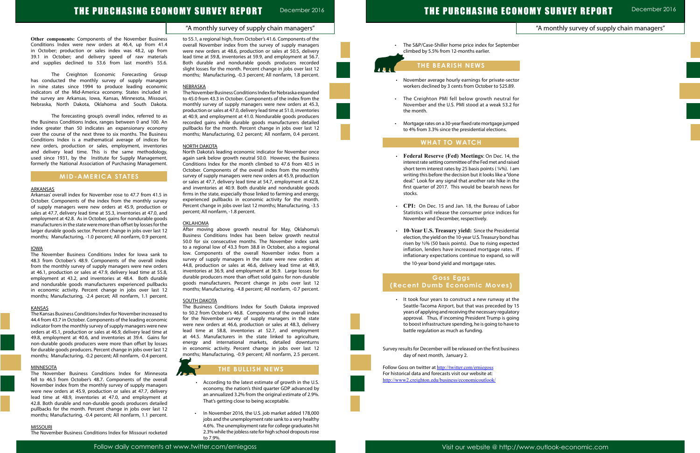# THE PURCHASING ECONOMY SURVEY REPORT

### "A monthly survey of supply chain managers"

December 2016

# "A monthly survey of supply chain managers"

| ber |  |  |  |
|-----|--|--|--|
|     |  |  |  |
|     |  |  |  |
|     |  |  |  |
|     |  |  |  |
|     |  |  |  |
|     |  |  |  |

| tor |  |  |  |
|-----|--|--|--|
| for |  |  |  |
|     |  |  |  |
|     |  |  |  |
|     |  |  |  |
| ped |  |  |  |
|     |  |  |  |

| v |  |  |  |
|---|--|--|--|
| v |  |  |  |
|   |  |  |  |



# THE PURCHASING ECONOMY SURVEY REPORT December 2016

**Other components:** Components of the November Business Conditions Index were new orders at 46.4, up from 41.4 in October; production or sales index was 48.2, up from 39.1 in October; and delivery speed of raw materials and supplies declined to 53.6 from last month's 55.6.

The Creighton Economic Forecasting Group has conducted the monthly survey of supply managers in nine states since 1994 to produce leading economic indicators of the Mid-America economy. States included in the survey are Arkansas, Iowa, Kansas, Minnesota, Missouri, Nebraska, North Dakota, Oklahoma and South Dakota.

The forecasting group's overall index, referred to as the Business Conditions Index, ranges between 0 and 100. An index greater than 50 indicates an expansionary economy over the course of the next three to six months. The Business Conditions Index is a mathematical average of indices for new orders, production or sales, employment, inventories and delivery lead time. This is the same methodology, used since 1931, by the Institute for Supply Management, formerly the National Association of Purchasing Management.

## **MID-AMERICA STATES**

#### ARKANSAS

Arkansas' overall index for November rose to 47.7 from 41.5 in October. Components of the index from the monthly survey of supply managers were new orders at 45.9, production or sales at 47.7, delivery lead time at 55.3, inventories at 47.0, and employment at 42.8. As in October, gains for nondurable goods manufacturers in the state were more than offset by losses for the larger durable goods sector. Percent change in jobs over last 12 months; Manufacturing, -1.0 percent; All nonfarm, 0.9 percent.

#### IOWA

The November Business Conditions Index for Iowa sank to 48.3 from October's 48.9. Components of the overall index from the monthly survey of supply managers were new orders at 46.1, production or sales at 47.9, delivery lead time at 55.8, employment at 43.2, and inventories at 48.4. Both durable and nondurable goods manufacturers experienced pullbacks in economic activity. Percent change in jobs over last 12 months; Manufacturing, -2.4 percet; All nonfarm, 1.1 percent.

#### **KANSAS**

The Kansas Business Conditions Index for November increased to 44.4 from 43.7 in October. Components of the leading economic indicator from the monthly survey of supply managers were new orders at 45.1, production or sales at 46.9, delivery lead time at 49.8, employment at 40.6, and inventories at 39.4. Gains for non-durable goods producers were more than offset by losses for durable goods producers. Percent change in jobs over last 12 months; Manufacturing, -0.2 percent; All nonfarm, -0.4 percent.

#### MINNESOTA

The November Business Conditions Index for Minnesota fell to 46.5 from October's 48.7. Components of the overall November index from the monthly survey of supply managers were new orders at 45.9, production or sales at 47.7, delivery lead time at 48.9, inventories at 47.0, and employment at 42.8. Both durable and non-durable goods producers detailed pullbacks for the month. Percent change in jobs over last 12 months; Manufacturing, -0.4 percent; All nonfarm, 1.1 percent.

#### **MISSOURI**

The S&P/Case-Shiller home price index for Septemb climbed by 5.5% from 12-months earlier.

The November Business Conditions Index for Missouri rocketed

to 55.1, a regional high, from October's 41.6. Components of the overall November index from the survey of supply managers were new orders at 48.6, production or sales at 50.5, delivery lead time at 59.8, inventories at 59.9, and employment at 56.7. Both durable and nondurable goods producers recorded slight losses for the month. Percent change in jobs over last 12 months; Manufacturing, -0.3 percent; All nonfarm, 1.8 percent.

#### NEBRASKA

The November Business Conditions Index for Nebraska expanded to 45.0 from 43.3 in October. Components of the index from the monthly survey of supply managers were new orders at 45.3, production or sales at 47.0, delivery lead time at 51.0, inventories at 40.9, and employment at 41.0. Nondurable goods producers recorded gains while durable goods manufacturers detailed pullbacks for the month. Percent change in jobs over last 12 months; Manufacturing, 0.2 percent; All nonfarm, 0.4 percent.

> Follow Goss on twitter at http://twitter.com/erniegoss For historical data and forecasts visit our website at: http://www2.creighton.edu/business/economicoutlook/

#### NORTH DAKOTA

North Dakota's leading economic indicator for November once again sank below growth neutral 50.0. However, the Business Conditions Index for the month climbed to 47.6 from 40.5 in October. Components of the overall index from the monthly survey of supply managers were new orders at 45.9, production or sales at 47.7, delivery lead time at 54.7, employment at 42.8, and inventories at 40.9. Both durable and nondurable goods firms in the state, especially those linked to farming and energy, experienced pullbacks in economic activity for the month. Percent change in jobs over last 12 months; Manufacturing, -3.5 percent; All nonfarm, -1.8 percent.

#### OKLAHOMA

After moving above growth neutral for May, Oklahoma's Business Conditions Index has been below growth neutral 50.0 for six consecutive months. The November index sank to a regional low of 43.3 from 38.8 in October, also a regional low. Components of the overall November index from a survey of supply managers in the state were new orders at 44.8, production or sales at 46.6, delivery lead time at 48.9, inventories at 36.9, and employment at 36.9. Large losses for durable producers more than offset solid gains for non-durable goods manufacturers. Percent change in jobs over last 12 months; Manufacturing, -4.8 percent; All nonfarm, -0.7 percent.

#### **SOUTH DAKOTA**

The Business Conditions Index for South Dakota improved to 50.2 from October's 46.8. Components of the overall index for the November survey of supply managers in the state were new orders at 46.6, production or sales at 48.3, delivery lead time at 58.8, inventories at 52.7, and employment at 44.5. Manufacturers in the state linked to agriculture, energy and international markets, detailed downturns in economic activity. Percent change in jobs over last 12 months; Manufacturing, -0.9 percent; All nonfarm, 2.5 percent.



### **THE BULLISH NEWS**

- • According to the latest estimate of growth in the U.S. economy, the nation's third quarter GDP advanced by an annualized 3.2% from the original estimate of 2.9%. That's getting close to being acceptable.
- • In November 2016, the U.S. job market added 178,000 jobs and the unemployment rate sank to a very healthy 4.6%. The unemployment rate for college graduates hit 2.3% while the jobless rate for high school dropouts rose to 7.9%.

# **THE BEARISH NEWS**

- • November average hourly earnings for private-sector workers declined by 3 cents from October to \$25.89.
- The Creighton PMI fell below growth neutral for November and the U.S. PMI stood at a weak 53.2 the month.
- Mortgage rates on a 30-year fixed rate mortgage jum to 4% from 3.3% since the presidential elections.

# **WHAT TO WATCH**

l,

Ĩ

- • **Federal Reserve (Fed) Meetings**: On Dec. 14, the interest rate setting committee of the Fed met and raised short term interest rates by 25 basis points ( ¼%). I am writing this before the decision but it looks like a "done deal." Look for any signal that another rate hike in the first quarter of 2017. This would be bearish news for stocks.
- • **CPI:** On Dec. 15 and Jan. 18, the Bureau of Labor Statistics will release the consumer price indices for November and December, respectively.
- • **10-Year U.S. Treasury yield:** Since the Presidential election, the yield on the 10-year U.S. Treasury bond has risen by ½% (50 basis points). Due to rising expected inflation, lenders have increased mortgage rates. If inflationary expectations continue to expand, so will the 10-year bond yield and mortgage rates.

# **Goss Eggs (Recent Dumb Economic Moves)**

 • It took four years to construct a new runway at the Seattle-Tacoma Airport, but that was preceded by 15 years of applying and receiving the necessary regulatory approval. Thus, if incoming President Trump is going to boost infrastructure spending, he is going to have to battle regulation as much as funding.

Survey results for December will be released on the first business day of next month, January 2.